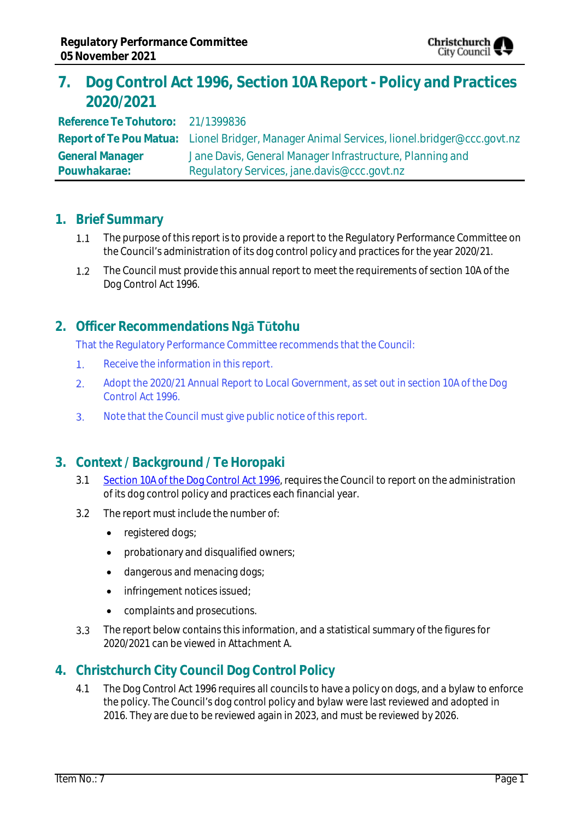

# **7. Dog Control Act 1996, Section 10A Report - Policy and Practices 2020/2021**

**Reference Te Tohutoro:** 21/1399836 **Report of Te Pou Matua:** Lionel Bridger, Manager Animal Services, lionel.bridger@ccc.govt.nz **General Manager Pouwhakarae:** Jane Davis, General Manager Infrastructure, Planning and Regulatory Services, jane.davis@ccc.govt.nz

### **1. Brief Summary**

- $1.1$ The purpose of this report is to provide a report to the Regulatory Performance Committee on the Council's administration of its dog control policy and practices for the year 2020/21.
- $1.2$ The Council must provide this annual report to meet the requirements of section 10A of the Dog Control Act 1996.

## **2. Officer Recommendations Ngā Tūtohu**

That the Regulatory Performance Committee recommends that the Council:

- $1.$ Receive the information in this report.
- Adopt the 2020/21 Annual Report to Local Government, as set out in section 10A of the Dog  $2.$ Control Act 1996.
- $3.$ Note that the Council must give public notice of this report.

## **3. Context / Background / Te Horopaki**

- 3.1 [Section 10A of the Dog Control Act 1996,](https://www.legislation.govt.nz/act/public/1996/0013/latest/DLM374805.html#DLM374805) requires the Council to report on the administration of its dog control policy and practices each financial year.
- 3.2 The report must include the number of:
	- registered dogs;
	- probationary and disqualified owners;
	- dangerous and menacing dogs;
	- infringement notices issued;
	- complaints and prosecutions.
- $3.3$ The report below contains this information, and a statistical summary of the figures for 2020/2021 can be viewed in Attachment A.

## **4. Christchurch City Council Dog Control Policy**

4.1 The Dog Control Act 1996 requires all councils to have a policy on dogs, and a bylaw to enforce the policy. The Council's dog control policy and bylaw were last reviewed and adopted in 2016. They are due to be reviewed again in 2023, and must be reviewed by 2026.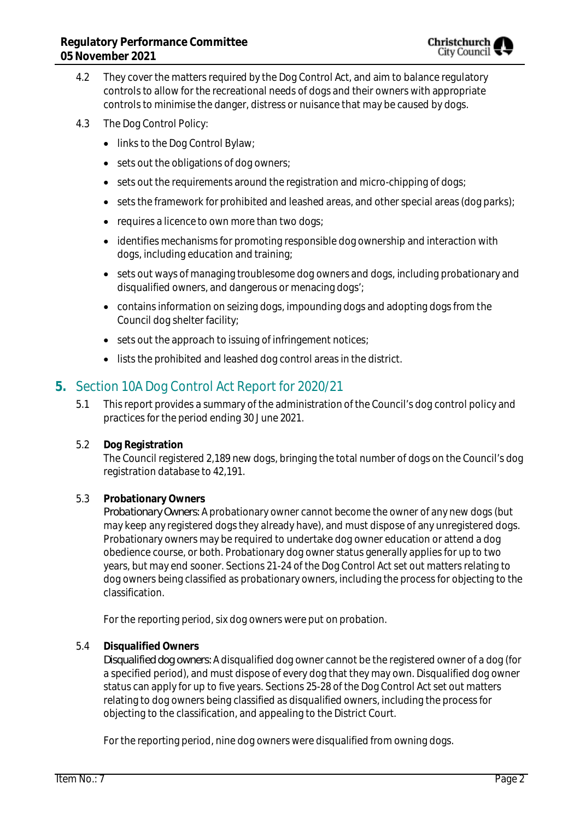- 4.2 They cover the matters required by the Dog Control Act, and aim to balance regulatory controls to allow for the recreational needs of dogs and their owners with appropriate controls to minimise the danger, distress or nuisance that may be caused by dogs.
- 4.3 The Dog Control Policy:
	- links to the Dog Control Bylaw;
	- sets out the obligations of dog owners;
	- sets out the requirements around the registration and micro-chipping of dogs;
	- $\bullet$  sets the framework for prohibited and leashed areas, and other special areas (dog parks);
	- requires a licence to own more than two dogs;
	- identifies mechanisms for promoting responsible dog ownership and interaction with dogs, including education and training;
	- sets out ways of managing troublesome dog owners and dogs, including probationary and disqualified owners, and dangerous or menacing dogs';
	- contains information on seizing dogs, impounding dogs and adopting dogs from the Council dog shelter facility;
	- sets out the approach to issuing of infringement notices;
	- lists the prohibited and leashed dog control areas in the district.

## **5.** Section 10A Dog Control Act Report for 2020/21

- 5.1 This report provides a summary of the administration of the Council's dog control policy and practices for the period ending 30 June 2021.
- 5.2 **Dog Registration**

The Council registered 2,189 new dogs, bringing the total number of dogs on the Council's dog registration database to 42,191.

### 5.3 **Probationary Owners**

*Probationary Owners:* A probationary owner cannot become the owner of any new dogs (but may keep any registered dogs they already have), and must dispose of any unregistered dogs. Probationary owners may be required to undertake dog owner education or attend a dog obedience course, or both. Probationary dog owner status generally applies for up to two years, but may end sooner. Sections 21-24 of the Dog Control Act set out matters relating to dog owners being classified as probationary owners, including the process for objecting to the classification.

For the reporting period, six dog owners were put on probation.

5.4 **Disqualified Owners**

*Disqualified dog owners:* A disqualified dog owner cannot be the registered owner of a dog (for a specified period), and must dispose of every dog that they may own. Disqualified dog owner status can apply for up to five years. Sections 25-28 of the Dog Control Act set out matters relating to dog owners being classified as disqualified owners, including the process for objecting to the classification, and appealing to the District Court.

For the reporting period, nine dog owners were disqualified from owning dogs.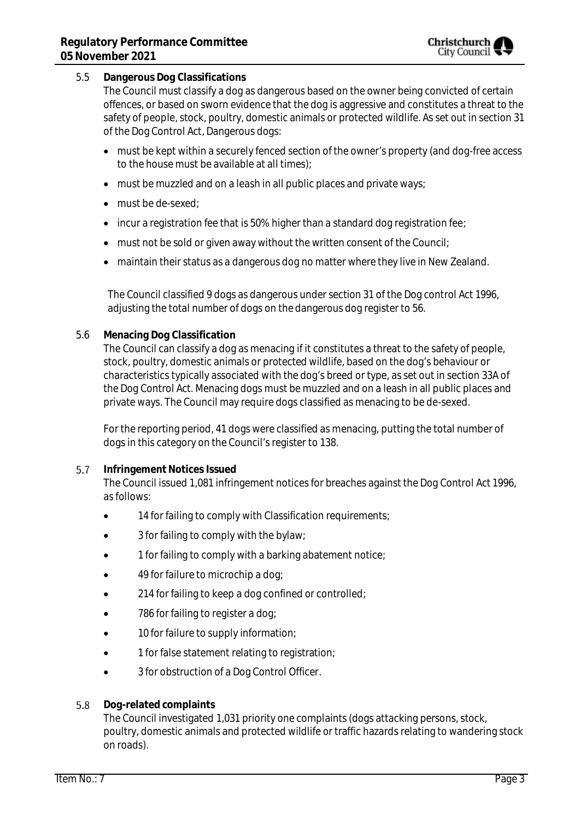### 5.5 **Dangerous Dog Classifications**

The Council must classify a dog as dangerous based on the owner being convicted of certain offences, or based on sworn evidence that the dog is aggressive and constitutes a threat to the safety of people, stock, poultry, domestic animals or protected wildlife. As set out in section 31 of the Dog Control Act, Dangerous dogs:

- must be kept within a securely fenced section of the owner's property (and dog-free access to the house must be available at all times);
- must be muzzled and on a leash in all public places and private ways;
- must be de-sexed:
- incur a registration fee that is 50% higher than a standard dog registration fee;
- must not be sold or given away without the written consent of the Council;
- maintain their status as a dangerous dog no matter where they live in New Zealand.

The Council classified 9 dogs as dangerous under section 31 of the Dog control Act 1996, adjusting the total number of dogs on the dangerous dog register to 56.

5.6 **Menacing Dog Classification**

The Council can classify a dog as menacing if it constitutes a threat to the safety of people, stock, poultry, domestic animals or protected wildlife, based on the dog's behaviour or characteristics typically associated with the dog's breed or type, as set out in section 33A of the Dog Control Act. Menacing dogs must be muzzled and on a leash in all public places and private ways. The Council may require dogs classified as menacing to be de-sexed.

For the reporting period, 41 dogs were classified as menacing, putting the total number of dogs in this category on the Council's register to 138.

#### 5.7 **Infringement Notices Issued**

The Council issued 1,081 infringement notices for breaches against the Dog Control Act 1996, as follows:

- 14 for failing to comply with Classification requirements;
- 3 for failing to comply with the bylaw;
- 1 for failing to comply with a barking abatement notice;
- 49 for failure to microchip a dog;
- 214 for failing to keep a dog confined or controlled;
- 786 for failing to register a dog;
- 10 for failure to supply information;
- 1 for false statement relating to registration;
- 3 for obstruction of a Dog Control Officer.
- 5.8 **Dog-related complaints**

The Council investigated 1,031 priority one complaints (dogs attacking persons, stock, poultry, domestic animals and protected wildlife or traffic hazards relating to wandering stock on roads).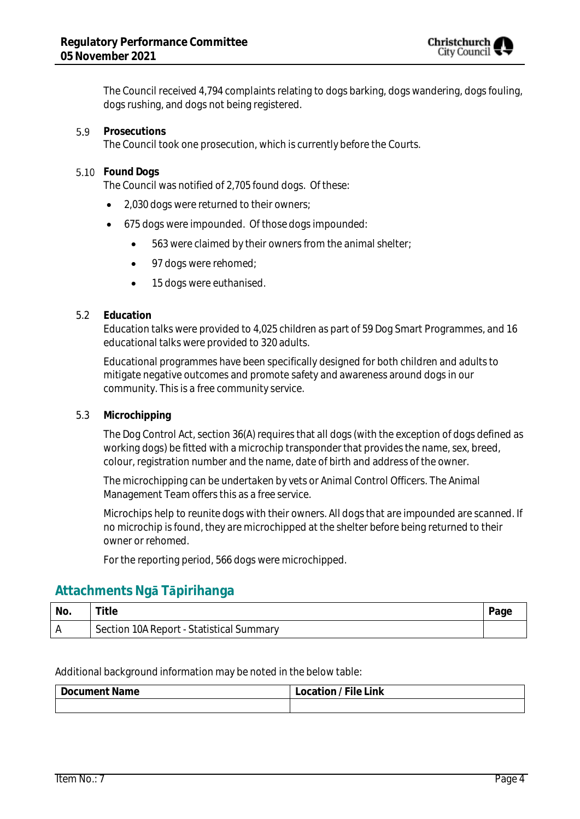

The Council received 4,794 complaints relating to dogs barking, dogs wandering, dogs fouling, dogs rushing, and dogs not being registered.

#### 5.9 **Prosecutions**

The Council took one prosecution, which is currently before the Courts.

### **Found Dogs**

The Council was notified of 2,705 found dogs. Of these:

- 2,030 dogs were returned to their owners;
- 675 dogs were impounded. Of those dogs impounded:
	- 563 were claimed by their owners from the animal shelter;
	- 97 dogs were rehomed;
	- 15 dogs were euthanised.

### 5.2 **Education**

Education talks were provided to 4,025 children as part of 59 Dog Smart Programmes, and 16 educational talks were provided to 320 adults.

Educational programmes have been specifically designed for both children and adults to mitigate negative outcomes and promote safety and awareness around dogs in our community. This is a free community service.

5.3 **Microchipping**

The Dog Control Act, section 36(A) requires that all dogs (with the exception of dogs defined as working dogs) be fitted with a microchip transponder that provides the name, sex, breed, colour, registration number and the name, date of birth and address of the owner.

The microchipping can be undertaken by vets or Animal Control Officers. The Animal Management Team offers this as a free service.

Microchips help to reunite dogs with their owners. All dogs that are impounded are scanned. If no microchip is found, they are microchipped at the shelter before being returned to their owner or rehomed.

For the reporting period, 566 dogs were microchipped.

### **Attachments Ngā Tāpirihanga**

| No. | Title                                    |  |
|-----|------------------------------------------|--|
|     | Section 10A Report - Statistical Summary |  |

Additional background information may be noted in the below table:

| Name<br>Document | $- \cdot \cdot$<br>ink<br>$\sim$<br>nrs |  |
|------------------|-----------------------------------------|--|
|                  |                                         |  |